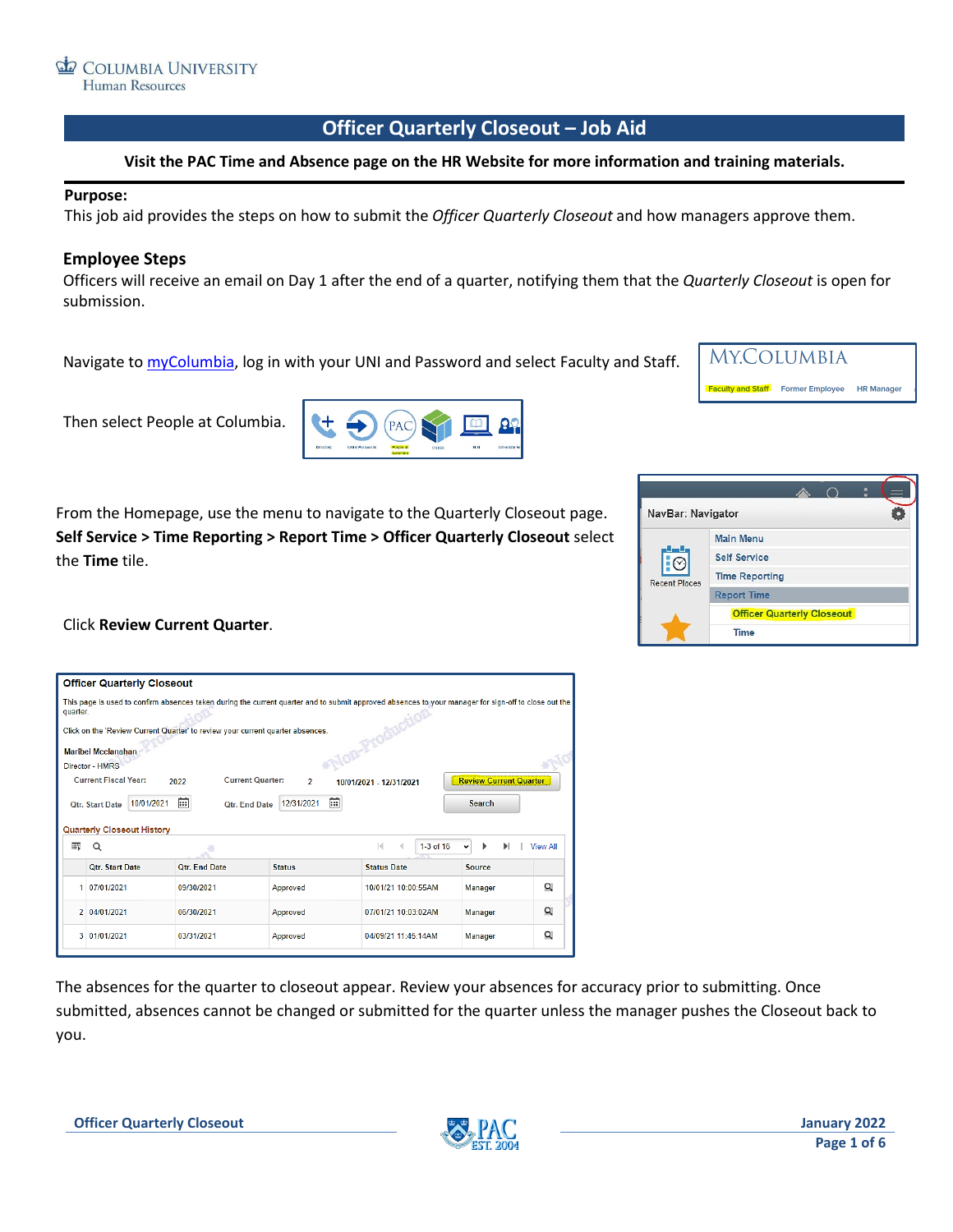# **Officer Quarterly Closeout – Job Aid**

#### **Visit the PAC Time and Absence page on the HR Website for more information and training materials.**

#### **Purpose:**

This job aid provides the steps on how to submit the *Officer Quarterly Closeout* and how managers approve them.

#### **Employee Steps**

Officers will receive an email on Day 1 after the end of a quarter, notifying them that the *Quarterly Closeout* is open for submission.

Navigate t[o myColumbia,](https://www.my.columbia.edu/) log in with your UNI and Password and select Faculty and Staff.



Then select People at Columbia.



From the Homepage, use the menu to navigate to the Quarterly Closeout page. **Self Service > Time Reporting > Report Time > Officer Quarterly Closeout** select the **Time** tile.



#### Click **Review Current Quarter**.

|                | <b>Officer Quarterly Closeout</b>                   |                                                                                |                                           |                                                                                                                                                      |                               |                 |
|----------------|-----------------------------------------------------|--------------------------------------------------------------------------------|-------------------------------------------|------------------------------------------------------------------------------------------------------------------------------------------------------|-------------------------------|-----------------|
| quarter.       | <b>Maribel Mcclanahan</b><br><b>Director - HMRS</b> | Click on the 'Review Current Quarter' to review your current quarter absences. |                                           | This page is used to confirm absences taken during the current quarter and to submit approved absences to your manager for sign-off to close out the |                               |                 |
|                | <b>Current Fiscal Year:</b>                         | 2022                                                                           | <b>Current Quarter:</b><br>$\overline{ }$ | 10/01/2021 - 12/31/2021                                                                                                                              | <b>Review Current Quarter</b> |                 |
|                | 10/01/2021<br>Otr. Start Date                       | 蘦                                                                              | 益<br>12/31/2021<br>Ofr. End Date          |                                                                                                                                                      | <b>Search</b>                 |                 |
|                |                                                     |                                                                                |                                           |                                                                                                                                                      |                               |                 |
| 噩              | <b>Quarterly Closeout History</b><br>Q              |                                                                                |                                           | $\vert \langle \vert$<br>$1-3$ of $16$<br>4                                                                                                          | Ы                             | <b>View All</b> |
|                | <b>Otr. Start Date</b>                              | <b>Otr. End Date</b>                                                           | <b>Status</b>                             | <b>Status Date</b>                                                                                                                                   | <b>Source</b>                 |                 |
| 1              | 07/01/2021                                          | 09/30/2021                                                                     | Approved                                  | 10/01/21 10:00:55AM                                                                                                                                  | Manager                       | Q               |
| $\overline{2}$ | 04/01/2021                                          | 06/30/2021                                                                     | Approved                                  | 07/01/21 10:03:02AM                                                                                                                                  | Manager                       | Q               |
| 3              | 01/01/2021                                          | 03/31/2021                                                                     | Approved                                  | 04/09/21 11:45:14AM                                                                                                                                  | Manager                       | Q               |

The absences for the quarter to closeout appear. Review your absences for accuracy prior to submitting. Once submitted, absences cannot be changed or submitted for the quarter unless the manager pushes the Closeout back to you.

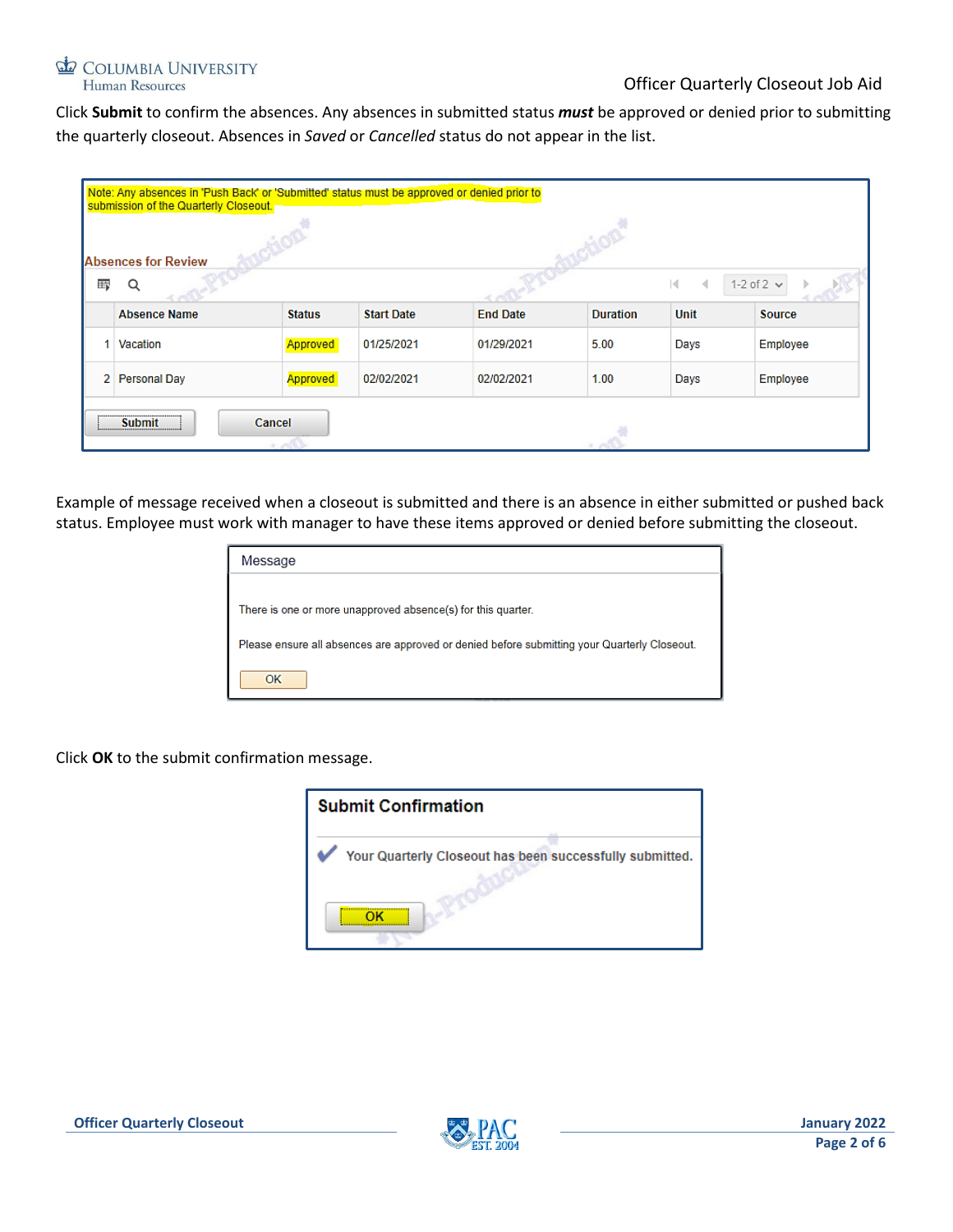#### COLUMBIA UNIVERSITY Human Resources

Click **Submit** to confirm the absences. Any absences in submitted status *must* be approved or denied prior to submitting the quarterly closeout. Absences in *Saved* or *Cancelled* status do not appear in the list.

|                                                                              | Note: Any absences in 'Push Back' or 'Submitted' status must be approved or denied prior to<br>submission of the Quarterly Closeout. |               |                   |                 |                 |      |               |  |
|------------------------------------------------------------------------------|--------------------------------------------------------------------------------------------------------------------------------------|---------------|-------------------|-----------------|-----------------|------|---------------|--|
|                                                                              |                                                                                                                                      |               |                   |                 |                 |      |               |  |
| <b>Absences for Review</b><br>羁<br>1-2 of $2 \vee$<br>Q<br>$\mathbb{N}$<br>∢ |                                                                                                                                      |               |                   |                 |                 |      |               |  |
|                                                                              | <b>Absence Name</b>                                                                                                                  | <b>Status</b> | <b>Start Date</b> | <b>End Date</b> | <b>Duration</b> | Unit | <b>Source</b> |  |
|                                                                              | Vacation                                                                                                                             | Approved      | 01/25/2021        | 01/29/2021      | 5.00            | Days | Employee      |  |
|                                                                              | 2 Personal Day                                                                                                                       | Approved      | 02/02/2021        | 02/02/2021      | 1.00            | Days | Employee      |  |
| Cancel<br><b>Submit</b><br>$1 - 0.03$                                        |                                                                                                                                      |               |                   |                 |                 |      |               |  |

Example of message received when a closeout is submitted and there is an absence in either submitted or pushed back status. Employee must work with manager to have these items approved or denied before submitting the closeout.

| Message                                                                                      |
|----------------------------------------------------------------------------------------------|
|                                                                                              |
| There is one or more unapproved absence(s) for this quarter.                                 |
| Please ensure all absences are approved or denied before submitting your Quarterly Closeout. |
| OK                                                                                           |

Click **OK** to the submit confirmation message.



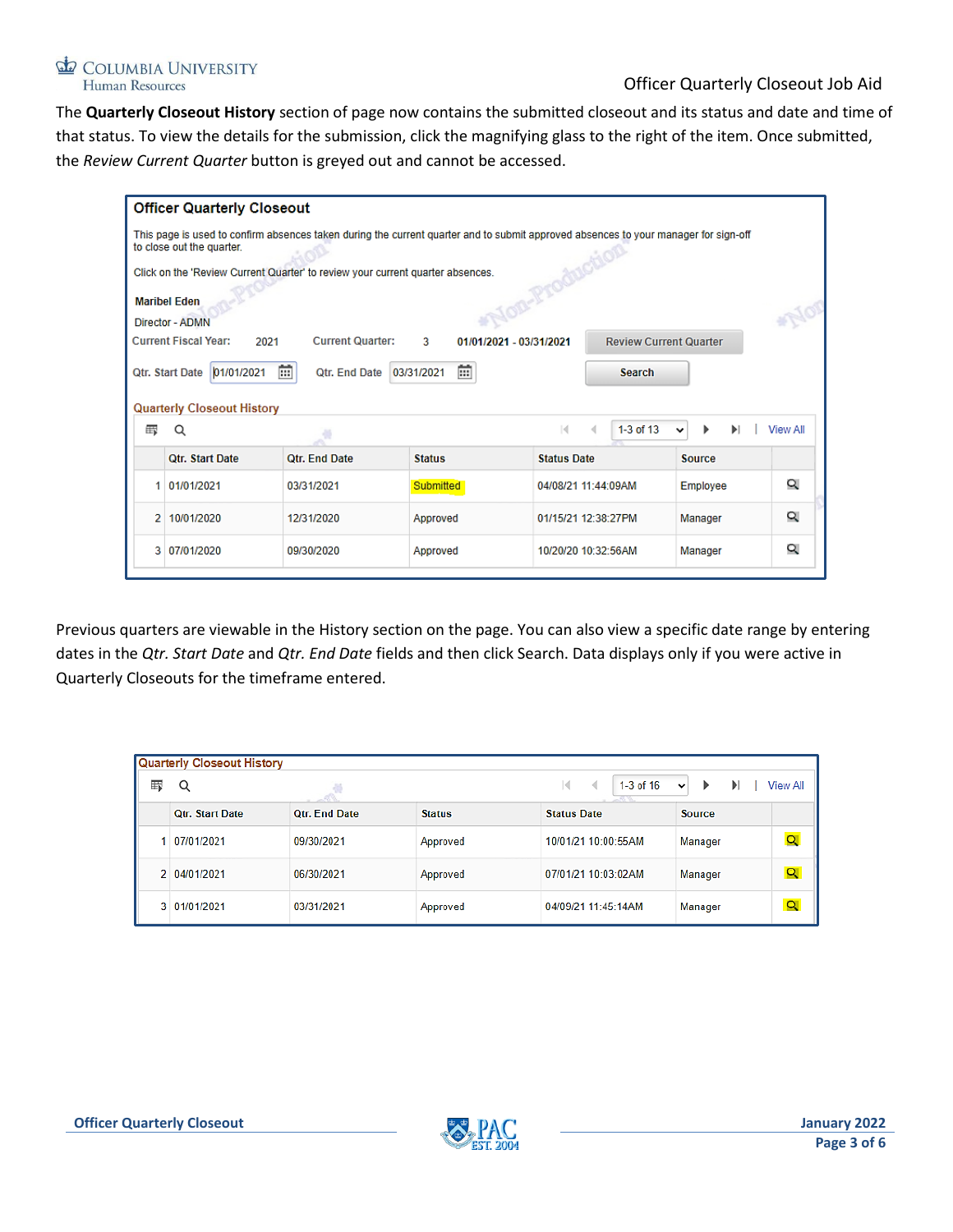#### COLUMBIA UNIVERSITY Human Resources

### Officer Quarterly Closeout Job Aid

The **Quarterly Closeout History** section of page now contains the submitted closeout and its status and date and time of that status. To view the details for the submission, click the magnifying glass to the right of the item. Once submitted, the *Review Current Quarter* button is greyed out and cannot be accessed.

|   | <b>Officer Quarterly Closeout</b>      |                                                                                                                                     |                 |                         |                               |               |                 |
|---|----------------------------------------|-------------------------------------------------------------------------------------------------------------------------------------|-----------------|-------------------------|-------------------------------|---------------|-----------------|
|   | to close out the quarter.              | This page is used to confirm absences taken during the current quarter and to submit approved absences to your manager for sign-off |                 |                         |                               |               |                 |
|   |                                        | Click on the 'Review Current Quarter' to review your current quarter absences.                                                      |                 |                         |                               |               |                 |
|   | <b>Maribel Eden</b><br>Director - ADMN |                                                                                                                                     |                 |                         |                               |               |                 |
|   | <b>Current Fiscal Year:</b><br>2021    | <b>Current Quarter:</b>                                                                                                             | 3               | 01/01/2021 - 03/31/2021 | <b>Review Current Quarter</b> |               |                 |
|   | 01/01/2021<br>Qtr. Start Date          | 龠<br><b>Qtr. End Date</b>                                                                                                           | 雷<br>03/31/2021 |                         | <b>Search</b>                 |               |                 |
|   | <b>Quarterly Closeout History</b>      |                                                                                                                                     |                 |                         |                               |               |                 |
| 示 | Q                                      |                                                                                                                                     |                 | м                       | $1-3$ of $13$<br>∢            | ь<br>ы<br>v   | <b>View All</b> |
|   | <b>Otr. Start Date</b>                 | <b>Otr. End Date</b>                                                                                                                | <b>Status</b>   | <b>Status Date</b>      |                               | <b>Source</b> |                 |
| 1 | 01/01/2021                             | 03/31/2021                                                                                                                          | Submitted       | 04/08/21 11:44:09AM     |                               | Employee      | Q               |
| 2 | 10/01/2020                             | 12/31/2020                                                                                                                          | Approved        | 01/15/21 12:38:27PM     |                               | Manager       | Q               |
| 3 | 07/01/2020                             | 09/30/2020                                                                                                                          | Approved        | 10/20/20 10:32:56AM     |                               | Manager       | Q               |
|   |                                        |                                                                                                                                     |                 |                         |                               |               |                 |

Previous quarters are viewable in the History section on the page. You can also view a specific date range by entering dates in the *Qtr. Start Date* and *Qtr. End Date* fields and then click Search. Data displays only if you were active in Quarterly Closeouts for the timeframe entered.

|    | Quarterly Closeout History |                      |               |                                      |                                             |  |  |  |
|----|----------------------------|----------------------|---------------|--------------------------------------|---------------------------------------------|--|--|--|
| 罫  | Q                          | -93                  |               | 1-3 of 16<br>к<br>∢<br><b>STARTS</b> | View All<br>$\blacktriangleright$<br>⋗<br>v |  |  |  |
|    | <b>Otr. Start Date</b>     | <b>Otr. End Date</b> | <b>Status</b> | <b>Status Date</b>                   | <b>Source</b>                               |  |  |  |
|    | 07/01/2021                 | 09/30/2021           | Approved      | 10/01/21 10:00:55AM                  | $\overline{\mathsf{Q}}$<br>Manager          |  |  |  |
| 2. | 04/01/2021                 | 06/30/2021           | Approved      | 07/01/21 10:03:02AM                  | $\alpha$<br>Manager                         |  |  |  |
|    | 3 01/01/2021               | 03/31/2021           | Approved      | 04/09/21 11:45:14AM                  | $\overline{Q}$<br>Manager                   |  |  |  |

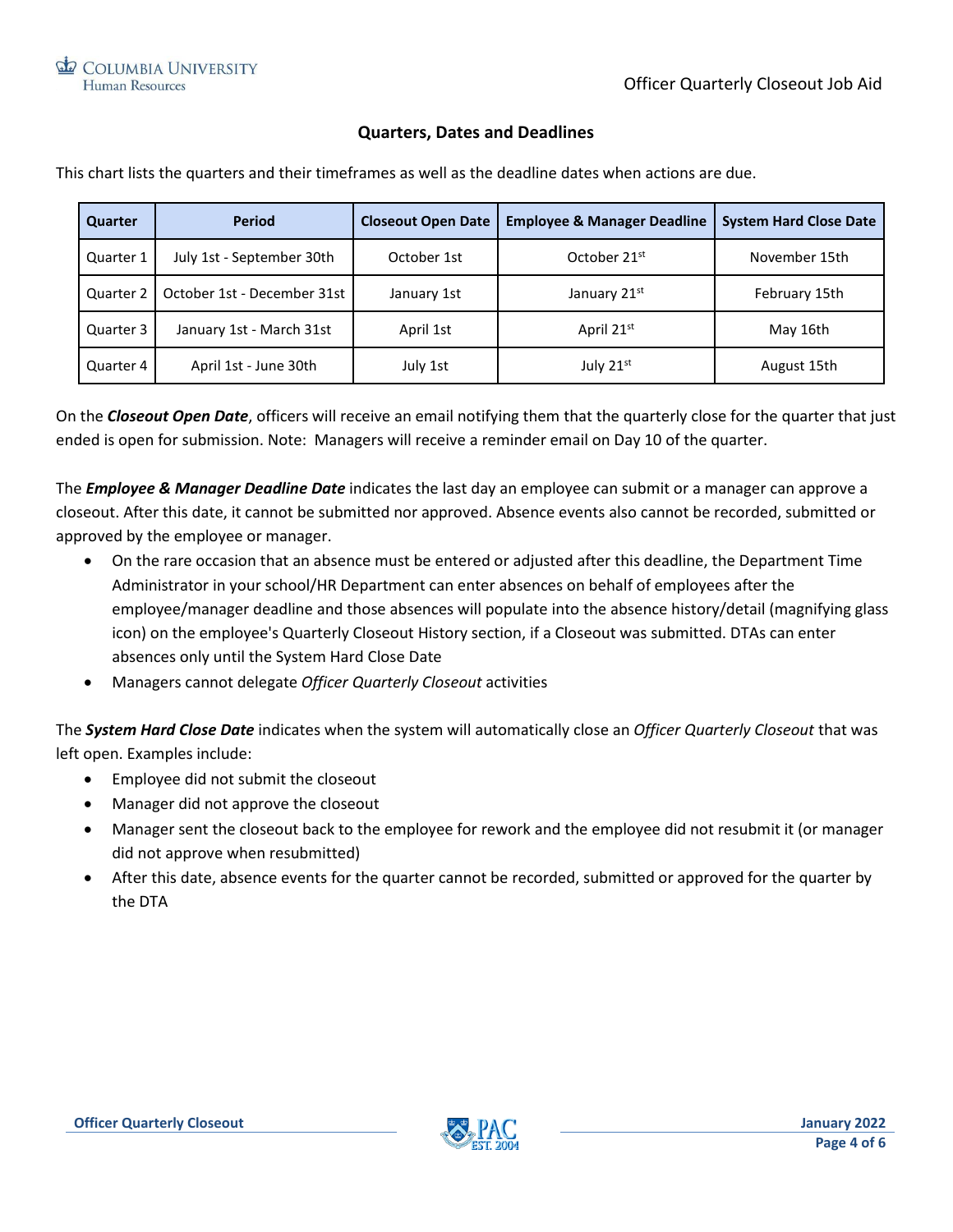## **Quarters, Dates and Deadlines**

| Quarter   | <b>Period</b>               | <b>Closeout Open Date</b> | <b>Employee &amp; Manager Deadline</b> | <b>System Hard Close Date</b> |
|-----------|-----------------------------|---------------------------|----------------------------------------|-------------------------------|
| Quarter 1 | July 1st - September 30th   | October 1st               | October 21 <sup>st</sup>               | November 15th                 |
| Quarter 2 | October 1st - December 31st | January 1st               | January 21st                           | February 15th                 |
| Quarter 3 | January 1st - March 31st    | April 1st                 | April 21st                             | May 16th                      |
| Quarter 4 | April 1st - June 30th       | July 1st                  | July $21^{st}$                         | August 15th                   |

This chart lists the quarters and their timeframes as well as the deadline dates when actions are due.

On the *Closeout Open Date*, officers will receive an email notifying them that the quarterly close for the quarter that just ended is open for submission. Note: Managers will receive a reminder email on Day 10 of the quarter.

The *Employee & Manager Deadline Date* indicates the last day an employee can submit or a manager can approve a closeout. After this date, it cannot be submitted nor approved. Absence events also cannot be recorded, submitted or approved by the employee or manager.

- On the rare occasion that an absence must be entered or adjusted after this deadline, the Department Time Administrator in your school/HR Department can enter absences on behalf of employees after the employee/manager deadline and those absences will populate into the absence history/detail (magnifying glass icon) on the employee's Quarterly Closeout History section, if a Closeout was submitted. DTAs can enter absences only until the System Hard Close Date
- Managers cannot delegate *Officer Quarterly Closeout* activities

The *System Hard Close Date* indicates when the system will automatically close an *Officer Quarterly Closeout* that was left open. Examples include:

- Employee did not submit the closeout
- Manager did not approve the closeout
- Manager sent the closeout back to the employee for rework and the employee did not resubmit it (or manager did not approve when resubmitted)
- After this date, absence events for the quarter cannot be recorded, submitted or approved for the quarter by the DTA

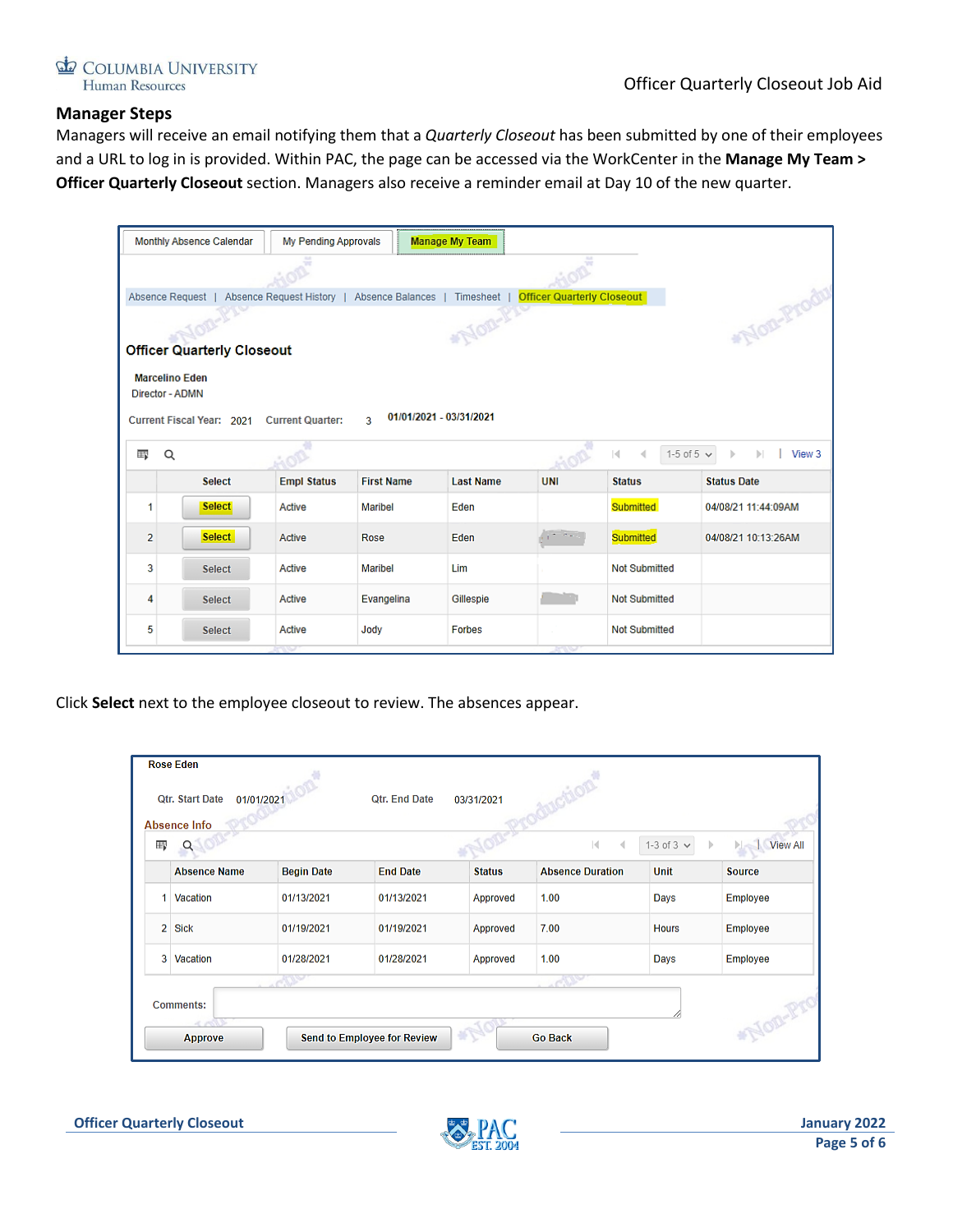

### **Manager Steps**

Managers will receive an email notifying them that a *Quarterly Closeout* has been submitted by one of their employees and a URL to log in is provided. Within PAC, the page can be accessed via the WorkCenter in the **Manage My Team > Officer Quarterly Closeout** section. Managers also receive a reminder email at Day 10 of the new quarter.

|                                   | Monthly Absence Calendar                                     | My Pending Approvals    |                               | <b>Manage My Team</b> |                                   |                      |                     |
|-----------------------------------|--------------------------------------------------------------|-------------------------|-------------------------------|-----------------------|-----------------------------------|----------------------|---------------------|
|                                   |                                                              |                         |                               |                       |                                   |                      |                     |
|                                   | Absence Request   Absence Request History   Absence Balances |                         |                               | Timesheet             | <b>Officer Quarterly Closeout</b> |                      |                     |
|                                   |                                                              |                         |                               | <b>NOTI-F</b>         |                                   |                      | "Non-Prods          |
| <b>Officer Quarterly Closeout</b> |                                                              |                         |                               |                       |                                   |                      |                     |
|                                   | <b>Marcelino Eden</b>                                        |                         |                               |                       |                                   |                      |                     |
|                                   | Director - ADMN                                              |                         |                               |                       |                                   |                      |                     |
|                                   | Current Fiscal Year: 2021                                    | <b>Current Quarter:</b> | 01/01/2021 - 03/31/2021<br>3. |                       |                                   |                      |                     |
| II.                               | Q                                                            |                         |                               |                       |                                   | 1-5 of 5 $\vee$<br>М | View 3              |
|                                   | <b>Select</b>                                                | <b>Empl Status</b>      | <b>First Name</b>             | <b>Last Name</b>      | <b>UNI</b>                        | <b>Status</b>        | <b>Status Date</b>  |
| 1                                 | <b>Select</b>                                                | Active                  | <b>Maribel</b>                | Eden                  |                                   | Submitted            | 04/08/21 11:44:09AM |
| $\overline{2}$                    | <b>Select</b>                                                | Active                  | Rose                          | Eden                  |                                   | Submitted            | 04/08/21 10:13:26AM |
| 3                                 | <b>Select</b>                                                | Active                  | Maribel                       | Lim                   |                                   | <b>Not Submitted</b> |                     |
| 4                                 | <b>Select</b>                                                | Active                  | Evangelina                    | Gillespie             |                                   | <b>Not Submitted</b> |                     |
| 5                                 | <b>Select</b>                                                | Active                  | Jody                          | <b>Forbes</b>         |                                   | <b>Not Submitted</b> |                     |

Click **Select** next to the employee closeout to review. The absences appear.

|                | <b>Rose Eden</b><br>Qtr. Start Date<br>01/01/2021<br>Absence Info |                   | <b>Qtr. End Date</b>        | 03/31/2021          | <b>Kilom</b>                    |              |               |
|----------------|-------------------------------------------------------------------|-------------------|-----------------------------|---------------------|---------------------------------|--------------|---------------|
| 冊              |                                                                   |                   |                             |                     | $\mathbb{N}$<br>$\triangleleft$ | $1-3$ of $3$ | View All      |
|                | <b>Absence Name</b>                                               | <b>Begin Date</b> | <b>End Date</b>             | <b>Status</b>       | <b>Absence Duration</b>         | <b>Unit</b>  | <b>Source</b> |
| 1              | Vacation                                                          | 01/13/2021        | 01/13/2021                  | Approved            | 1.00                            | Days         | Employee      |
| $\overline{2}$ | <b>Sick</b>                                                       | 01/19/2021        | 01/19/2021                  | Approved            | 7.00                            | <b>Hours</b> | Employee      |
| з              | Vacation                                                          | 01/28/2021        | 01/28/2021                  | Approved            | 1.00                            | Days         | Employee      |
|                | <b>Comments:</b><br>4.002<br>Approve                              | $\sqrt{10}$       | Send to Employee for Review | $*_{\mathcal{L}_1}$ | d Sa<br><b>Go Back</b>          |              | NOR-PY        |